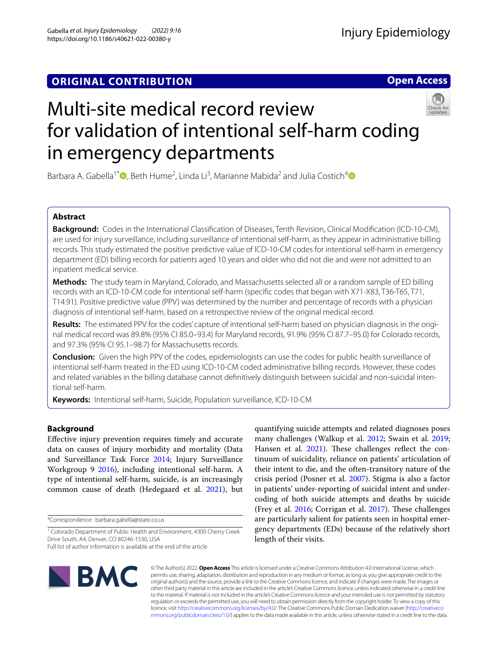# **ORIGINAL CONTRIBUTION**

**Open Access**



# Multi-site medical record review for validation of intentional self-harm coding in emergency departments

Barbara A. Gabella<sup>1[\\*](http://orcid.org/0000-0001-6301-116X)</sup><sup>®</sup>, Beth Hume<sup>2</sup>, Linda Li<sup>3</sup>, Marianne Mabida<sup>2</sup> and Julia Costich<sup>4</sup><sup>®</sup>

# **Abstract**

**Background:** Codes in the International Classifcation of Diseases, Tenth Revision, Clinical Modifcation (ICD-10-CM), are used for injury surveillance, including surveillance of intentional self-harm, as they appear in administrative billing records. This study estimated the positive predictive value of ICD-10-CM codes for intentional self-harm in emergency department (ED) billing records for patients aged 10 years and older who did not die and were not admitted to an inpatient medical service.

**Methods:** The study team in Maryland, Colorado, and Massachusetts selected all or a random sample of ED billing records with an ICD-10-CM code for intentional self-harm (specifc codes that began with X71-X83, T36-T65, T71, T14.91). Positive predictive value (PPV) was determined by the number and percentage of records with a physician diagnosis of intentional self-harm, based on a retrospective review of the original medical record.

**Results:** The estimated PPV for the codes' capture of intentional self-harm based on physician diagnosis in the original medical record was 89.8% (95% CI 85.0–93.4) for Maryland records, 91.9% (95% CI 87.7–95.0) for Colorado records, and 97.3% (95% CI 95.1–98.7) for Massachusetts records.

**Conclusion:** Given the high PPV of the codes, epidemiologists can use the codes for public health surveillance of intentional self-harm treated in the ED using ICD-10-CM coded administrative billing records. However, these codes and related variables in the billing database cannot defnitively distinguish between suicidal and non-suicidal intentional self-harm.

**Keywords:** Intentional self-harm, Suicide, Population surveillance, ICD-10-CM

# **Background**

Efective injury prevention requires timely and accurate data on causes of injury morbidity and mortality (Data and Surveillance Task Force [2014](#page-9-0); Injury Surveillance Workgroup 9 [2016\)](#page-9-1), including intentional self-harm. A type of intentional self-harm, suicide, is an increasingly common cause of death (Hedegaard et al. [2021](#page-9-2)), but

\*Correspondence: barbara.gabella@state.co.us

quantifying suicide attempts and related diagnoses poses many challenges (Walkup et al. [2012](#page-10-0); Swain et al. [2019](#page-9-3); Hansen et al. [2021](#page-9-4)). These challenges reflect the continuum of suicidality, reliance on patients' articulation of their intent to die, and the often-transitory nature of the crisis period (Posner et al. [2007](#page-9-5)). Stigma is also a factor in patients' under-reporting of suicidal intent and undercoding of both suicide attempts and deaths by suicide (Frey et al. [2016](#page-9-6); Corrigan et al. [2017\)](#page-9-7). These challenges are particularly salient for patients seen in hospital emergency departments (EDs) because of the relatively short length of their visits.



© The Author(s) 2022. **Open Access** This article is licensed under a Creative Commons Attribution 4.0 International License, which permits use, sharing, adaptation, distribution and reproduction in any medium or format, as long as you give appropriate credit to the original author(s) and the source, provide a link to the Creative Commons licence, and indicate if changes were made. The images or other third party material in this article are included in the article's Creative Commons licence, unless indicated otherwise in a credit line to the material. If material is not included in the article's Creative Commons licence and your intended use is not permitted by statutory regulation or exceeds the permitted use, you will need to obtain permission directly from the copyright holder. To view a copy of this licence, visit [http://creativecommons.org/licenses/by/4.0/.](http://creativecommons.org/licenses/by/4.0/) The Creative Commons Public Domain Dedication waiver ([http://creativeco](http://creativecommons.org/publicdomain/zero/1.0/) [mmons.org/publicdomain/zero/1.0/](http://creativecommons.org/publicdomain/zero/1.0/)) applies to the data made available in this article, unless otherwise stated in a credit line to the data.

<sup>&</sup>lt;sup>1</sup> Colorado Department of Public Health and Environment, 4300 Cherry Creek Drive South, A4, Denver, CO 80246-1530, USA

Full list of author information is available at the end of the article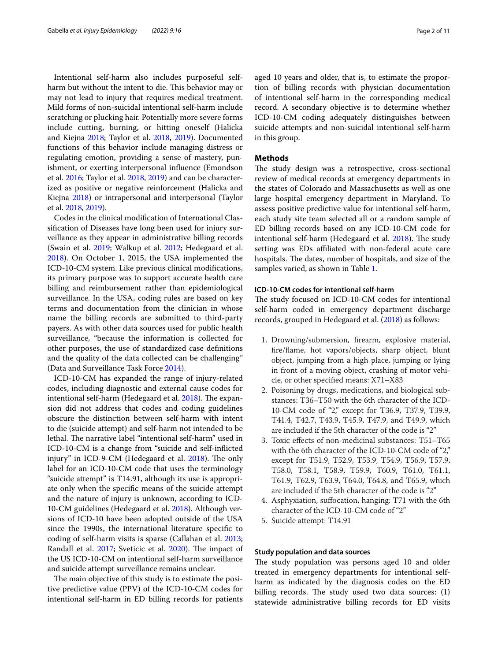Intentional self-harm also includes purposeful selfharm but without the intent to die. This behavior may or may not lead to injury that requires medical treatment. Mild forms of non-suicidal intentional self-harm include scratching or plucking hair. Potentially more severe forms include cutting, burning, or hitting oneself (Halicka and Kiejna [2018;](#page-9-8) Taylor et al. [2018,](#page-9-9) [2019](#page-10-1)). Documented functions of this behavior include managing distress or regulating emotion, providing a sense of mastery, punishment, or exerting interpersonal infuence (Emondson et al. [2016](#page-9-10); Taylor et al. [2018](#page-9-9), [2019\)](#page-10-1) and can be characterized as positive or negative reinforcement (Halicka and Kiejna [2018](#page-9-8)) or intrapersonal and interpersonal (Taylor et al. [2018,](#page-9-9) [2019](#page-10-1)).

Codes in the clinical modifcation of International Classifcation of Diseases have long been used for injury surveillance as they appear in administrative billing records (Swain et al. [2019;](#page-9-3) Walkup et al. [2012](#page-10-0); Hedegaard et al. [2018](#page-9-11)). On October 1, 2015, the USA implemented the ICD-10-CM system. Like previous clinical modifcations, its primary purpose was to support accurate health care billing and reimbursement rather than epidemiological surveillance. In the USA, coding rules are based on key terms and documentation from the clinician in whose name the billing records are submitted to third-party payers. As with other data sources used for public health surveillance, "because the information is collected for other purposes, the use of standardized case defnitions and the quality of the data collected can be challenging" (Data and Surveillance Task Force [2014\)](#page-9-0).

ICD-10-CM has expanded the range of injury-related codes, including diagnostic and external cause codes for intentional self-harm (Hedegaard et al. [2018\)](#page-9-11). The expansion did not address that codes and coding guidelines obscure the distinction between self-harm with intent to die (suicide attempt) and self-harm not intended to be lethal. The narrative label "intentional self-harm" used in ICD-10-CM is a change from "suicide and self-inficted injury" in ICD-9-CM (Hedegaard et al. [2018\)](#page-9-11). The only label for an ICD-10-CM code that uses the terminology "suicide attempt" is T14.91, although its use is appropriate only when the specifc means of the suicide attempt and the nature of injury is unknown, according to ICD-10-CM guidelines (Hedegaard et al. [2018](#page-9-11)). Although versions of ICD-10 have been adopted outside of the USA since the 1990s, the international literature specifc to coding of self-harm visits is sparse (Callahan et al. [2013](#page-9-12); Randall et al. [2017;](#page-9-13) Sveticic et al. [2020\)](#page-9-14). The impact of the US ICD-10-CM on intentional self-harm surveillance and suicide attempt surveillance remains unclear.

The main objective of this study is to estimate the positive predictive value (PPV) of the ICD-10-CM codes for intentional self-harm in ED billing records for patients aged 10 years and older, that is, to estimate the proportion of billing records with physician documentation of intentional self-harm in the corresponding medical record. A secondary objective is to determine whether ICD-10-CM coding adequately distinguishes between suicide attempts and non-suicidal intentional self-harm in this group.

# **Methods**

The study design was a retrospective, cross-sectional review of medical records at emergency departments in the states of Colorado and Massachusetts as well as one large hospital emergency department in Maryland. To assess positive predictive value for intentional self-harm, each study site team selected all or a random sample of ED billing records based on any ICD-10-CM code for intentional self-harm (Hedegaard et al. [2018](#page-9-11)). The study setting was EDs affiliated with non-federal acute care hospitals. The dates, number of hospitals, and size of the samples varied, as shown in Table [1](#page-2-0).

# **ICD‑10‑CM codes for intentional self‑harm**

The study focused on ICD-10-CM codes for intentional self-harm coded in emergency department discharge records, grouped in Hedegaard et al. ([2018](#page-9-11)) as follows:

- 1. Drowning/submersion, frearm, explosive material, fre/fame, hot vapors/objects, sharp object, blunt object, jumping from a high place, jumping or lying in front of a moving object, crashing of motor vehicle, or other specifed means: X71–X83
- 2. Poisoning by drugs, medications, and biological substances: T36–T50 with the 6th character of the ICD-10-CM code of "2," except for T36.9, T37.9, T39.9, T41.4, T42.7, T43.9, T45.9, T47.9, and T49.9, which are included if the 5th character of the code is "2"
- 3. Toxic efects of non-medicinal substances: T51–T65 with the 6th character of the ICD-10-CM code of "2," except for T51.9, T52.9, T53.9, T54.9, T56.9, T57.9, T58.0, T58.1, T58.9, T59.9, T60.9, T61.0, T61.1, T61.9, T62.9, T63.9, T64.0, T64.8, and T65.9, which are included if the 5th character of the code is "2"
- 4. Asphyxiation, sufocation, hanging: T71 with the 6th character of the ICD-10-CM code of "2"
- 5. Suicide attempt: T14.91

#### **Study population and data sources**

The study population was persons aged 10 and older treated in emergency departments for intentional selfharm as indicated by the diagnosis codes on the ED billing records. The study used two data sources:  $(1)$ statewide administrative billing records for ED visits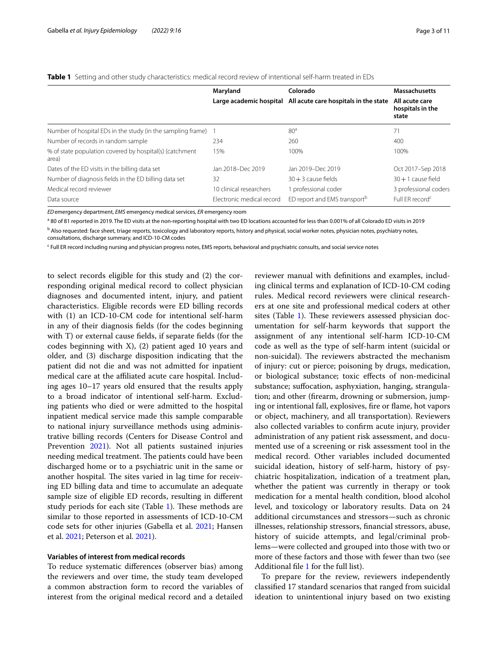<span id="page-2-0"></span>

|  | <b>Table 1</b> Setting and other study characteristics: medical record review of intentional self-harm treated in EDs |  |  |  |
|--|-----------------------------------------------------------------------------------------------------------------------|--|--|--|
|  |                                                                                                                       |  |  |  |

|                                                                  | Maryland                  | Colorado                                                      | <b>Massachusetts</b>                        |
|------------------------------------------------------------------|---------------------------|---------------------------------------------------------------|---------------------------------------------|
|                                                                  |                           | Large academic hospital All acute care hospitals in the state | All acute care<br>hospitals in the<br>state |
| Number of hospital EDs in the study (in the sampling frame)      |                           | 80 <sup>a</sup>                                               | 71                                          |
| Number of records in random sample                               | 234                       | 260                                                           | 400                                         |
| % of state population covered by hospital(s) (catchment<br>area) | 15%                       | 100%                                                          | 100%                                        |
| Dates of the ED visits in the billing data set                   | Jan 2018-Dec 2019         | Jan 2019-Dec 2019                                             | Oct 2017-Sep 2018                           |
| Number of diagnosis fields in the ED billing data set            | 32                        | $30 + 3$ cause fields                                         | $30 + 1$ cause field                        |
| Medical record reviewer                                          | 10 clinical researchers   | 1 professional coder                                          | 3 professional coders                       |
| Data source                                                      | Electronic medical record | ED report and EMS transport <sup>b</sup>                      | Full ER record <sup>c</sup>                 |

*ED*emergency department, *EMS* emergency medical services, *ER* emergency room

a 80 of 81 reported in 2019. The ED visits at the non-reporting hospital with two ED locations accounted for less than 0.001% of all Colorado ED visits in 2019

<sup>b</sup> Also requested: face sheet, triage reports, toxicology and laboratory reports, history and physical, social worker notes, physician notes, psychiatry notes,

consultations, discharge summary, and ICD-10-CM codes

<sup>c</sup> Full ER record including nursing and physician progress notes, EMS reports, behavioral and psychiatric consults, and social service notes

to select records eligible for this study and (2) the corresponding original medical record to collect physician diagnoses and documented intent, injury, and patient characteristics. Eligible records were ED billing records with (1) an ICD-10-CM code for intentional self-harm in any of their diagnosis felds (for the codes beginning with T) or external cause felds, if separate felds (for the codes beginning with X), (2) patient aged 10 years and older, and (3) discharge disposition indicating that the patient did not die and was not admitted for inpatient medical care at the affiliated acute care hospital. Including ages 10–17 years old ensured that the results apply to a broad indicator of intentional self-harm. Excluding patients who died or were admitted to the hospital inpatient medical service made this sample comparable to national injury surveillance methods using administrative billing records (Centers for Disease Control and Prevention [2021](#page-9-15)). Not all patients sustained injuries needing medical treatment. The patients could have been discharged home or to a psychiatric unit in the same or another hospital. The sites varied in lag time for receiving ED billing data and time to accumulate an adequate sample size of eligible ED records, resulting in diferent study periods for each site (Table  $1$ ). These methods are similar to those reported in assessments of ICD-10-CM code sets for other injuries (Gabella et al. [2021;](#page-9-16) Hansen et al. [2021;](#page-9-4) Peterson et al. [2021\)](#page-9-17).

#### **Variables of interest from medical records**

To reduce systematic diferences (observer bias) among the reviewers and over time, the study team developed a common abstraction form to record the variables of interest from the original medical record and a detailed reviewer manual with defnitions and examples, including clinical terms and explanation of ICD-10-CM coding rules. Medical record reviewers were clinical researchers at one site and professional medical coders at other sites (Table [1\)](#page-2-0). These reviewers assessed physician documentation for self-harm keywords that support the assignment of any intentional self-harm ICD-10-CM code as well as the type of self-harm intent (suicidal or non-suicidal). The reviewers abstracted the mechanism of injury: cut or pierce; poisoning by drugs, medication, or biological substance; toxic efects of non-medicinal substance; sufocation, asphyxiation, hanging, strangulation; and other (frearm, drowning or submersion, jumping or intentional fall, explosives, fre or fame, hot vapors or object, machinery, and all transportation). Reviewers also collected variables to confrm acute injury, provider administration of any patient risk assessment, and documented use of a screening or risk assessment tool in the medical record. Other variables included documented suicidal ideation, history of self-harm, history of psychiatric hospitalization, indication of a treatment plan, whether the patient was currently in therapy or took medication for a mental health condition, blood alcohol level, and toxicology or laboratory results. Data on 24 additional circumstances and stressors—such as chronic illnesses, relationship stressors, fnancial stressors, abuse, history of suicide attempts, and legal/criminal problems—were collected and grouped into those with two or more of these factors and those with fewer than two (see Additional fle [1](#page-8-0) for the full list).

To prepare for the review, reviewers independently classifed 17 standard scenarios that ranged from suicidal ideation to unintentional injury based on two existing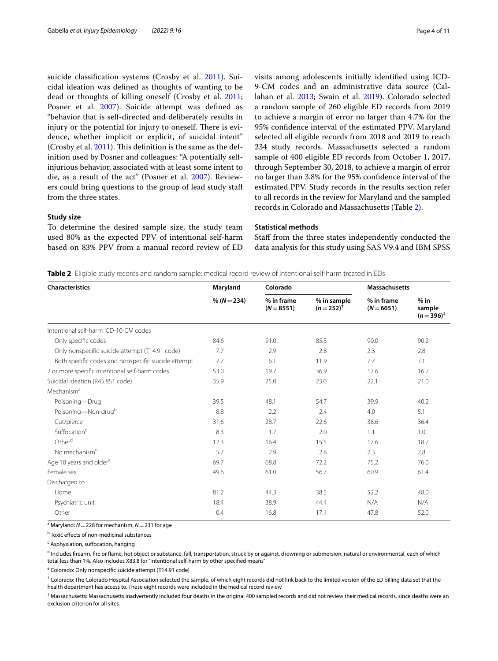suicide classifcation systems (Crosby et al. [2011](#page-9-18)). Suicidal ideation was defned as thoughts of wanting to be dead or thoughts of killing oneself (Crosby et al. [2011](#page-9-18); Posner et al. [2007](#page-9-5)). Suicide attempt was defned as "behavior that is self-directed and deliberately results in injury or the potential for injury to oneself. There is evidence, whether implicit or explicit, of suicidal intent" (Crosby et al.  $2011$ ). This definition is the same as the definition used by Posner and colleagues: "A potentially selfinjurious behavior, associated with at least some intent to die, as a result of the act" (Posner et al. [2007](#page-9-5)). Reviewers could bring questions to the group of lead study staf from the three states.

#### **Study size**

To determine the desired sample size, the study team used 80% as the expected PPV of intentional self-harm based on 83% PPV from a manual record review of ED visits among adolescents initially identifed using ICD-9-CM codes and an administrative data source (Callahan et al. [2013](#page-9-12); Swain et al. [2019](#page-9-3)). Colorado selected a random sample of 260 eligible ED records from 2019 to achieve a margin of error no larger than 4.7% for the 95% confdence interval of the estimated PPV. Maryland selected all eligible records from 2018 and 2019 to reach 234 study records. Massachusetts selected a random sample of 400 eligible ED records from October 1, 2017, through September 30, 2018, to achieve a margin of error no larger than 3.8% for the 95% confdence interval of the estimated PPV. Study records in the results section refer to all records in the review for Maryland and the sampled records in Colorado and Massachusetts (Table [2\)](#page-3-0).

# **Statistical methods**

Staff from the three states independently conducted the data analysis for this study using SAS V9.4 and IBM SPSS

<span id="page-3-0"></span>**Table 2** Eligible study records and random sample: medical record review of intentional self-harm treated in EDs

| <b>Characteristics</b>                              | Maryland<br>Colorado |                            |                              | <b>Massachusetts</b>     |                                 |
|-----------------------------------------------------|----------------------|----------------------------|------------------------------|--------------------------|---------------------------------|
|                                                     | % ( $N = 234$ )      | % in frame<br>$(N = 8551)$ | % in sample<br>$(n=252)^{t}$ | % in frame<br>$(N=6651)$ | $%$ in<br>sample<br>$(n=396)^+$ |
| Intentional self-harm ICD-10-CM codes               |                      |                            |                              |                          |                                 |
| Only specific codes                                 | 84.6                 | 91.0                       | 85.3                         | 90.0                     | 90.2                            |
| Only nonspecific suicide attempt (T14.91 code)      | 7.7                  | 2.9                        | 2.8                          | 2.3                      | 2.8                             |
| Both specific codes and nonspecific suicide attempt | 7.7                  | 6.1                        | 11.9                         | 7.7                      | 7.1                             |
| 2 or more specific intentional self-harm codes      | 53.0                 | 19.7                       | 36.9                         | 17.6                     | 16.7                            |
| Suicidal ideation (R45.851 code)                    | 35.9                 | 25.0                       | 23.0                         | 22.1                     | 21.0                            |
| Mechanism <sup>a</sup>                              |                      |                            |                              |                          |                                 |
| Poisoning-Drug                                      | 39.5                 | 48.1                       | 54.7                         | 39.9                     | 40.2                            |
| Poisoning-Non-drugb                                 | 8.8                  | 2.2                        | 2.4                          | 4.0                      | 5.1                             |
| Cut/pierce                                          | 31.6                 | 28.7                       | 22.6                         | 38.6                     | 36.4                            |
| Suffocation <sup>c</sup>                            | 8.3                  | 1.7                        | 2.0                          | 1.1                      | 1.0                             |
| Other <sup>d</sup>                                  | 12.3                 | 16.4                       | 15.5                         | 17.6                     | 18.7                            |
| No mechanism <sup>e</sup>                           | 5.7                  | 2.9                        | 2.8                          | 2.3                      | 2.8                             |
| Age 18 years and older <sup>a</sup>                 | 69.7                 | 68.8                       | 72.2                         | 75.2                     | 76.0                            |
| Female sex                                          | 49.6                 | 61.0                       | 56.7                         | 60.9                     | 61.4                            |
| Discharged to                                       |                      |                            |                              |                          |                                 |
| Home                                                | 81.2                 | 44.3                       | 38.5                         | 52.2                     | 48.0                            |
| Psychiatric unit                                    | 18.4                 | 38.9                       | 44.4                         | N/A                      | N/A                             |
| Other                                               | 0.4                  | 16.8                       | 17.1                         | 47.8                     | 52.0                            |

a Maryland: *N*=228 for mechanism, *N*=231 for age

<sup>b</sup> Toxic effects of non-medicinal substances

<sup>c</sup> Asphyxiation, suffocation, hanging

<sup>d</sup> Includes firearm, fire or flame, hot object or substance, fall, transportation, struck by or against, drowning or submersion, natural or environmental, each of which total less than 1%. Also includes X83.8 for "Intentional self-harm by other specifed means"

<sup>e</sup> Colorado: Only nonspecific suicide attempt (T14.91 code)

 $^\dagger$  Colorado: The Colorado Hospital Association selected the sample, of which eight records did not link back to the limited version of the ED billing data set that the health department has access to. These eight records were included in the medical record review

‡ Massachusetts: Massachusetts inadvertently included four deaths in the original 400 sampled records and did not review their medical records, since deaths were an exclusion criterion for all sites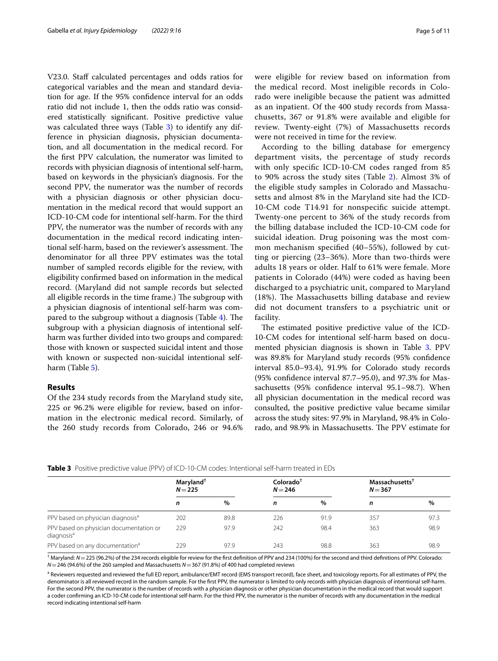V23.0. Staff calculated percentages and odds ratios for categorical variables and the mean and standard deviation for age. If the 95% confdence interval for an odds ratio did not include 1, then the odds ratio was considered statistically signifcant. Positive predictive value was calculated three ways (Table [3\)](#page-4-0) to identify any difference in physician diagnosis, physician documentation, and all documentation in the medical record. For the frst PPV calculation, the numerator was limited to records with physician diagnosis of intentional self-harm, based on keywords in the physician's diagnosis. For the second PPV, the numerator was the number of records with a physician diagnosis or other physician documentation in the medical record that would support an ICD-10-CM code for intentional self-harm. For the third PPV, the numerator was the number of records with any documentation in the medical record indicating intentional self-harm, based on the reviewer's assessment. The denominator for all three PPV estimates was the total number of sampled records eligible for the review, with eligibility confrmed based on information in the medical record. (Maryland did not sample records but selected all eligible records in the time frame.) The subgroup with a physician diagnosis of intentional self-harm was compared to the subgroup without a diagnosis (Table  $4$ ). The subgroup with a physician diagnosis of intentional selfharm was further divided into two groups and compared: those with known or suspected suicidal intent and those with known or suspected non-suicidal intentional selfharm (Table [5\)](#page-6-0).

# **Results**

Of the 234 study records from the Maryland study site, 225 or 96.2% were eligible for review, based on information in the electronic medical record. Similarly, of the 260 study records from Colorado, 246 or 94.6% were eligible for review based on information from the medical record. Most ineligible records in Colorado were ineligible because the patient was admitted as an inpatient. Of the 400 study records from Massachusetts, 367 or 91.8% were available and eligible for review. Twenty-eight (7%) of Massachusetts records were not received in time for the review.

According to the billing database for emergency department visits, the percentage of study records with only specifc ICD-10-CM codes ranged from 85 to 90% across the study sites (Table [2](#page-3-0)). Almost 3% of the eligible study samples in Colorado and Massachusetts and almost 8% in the Maryland site had the ICD-10-CM code T14.91 for nonspecifc suicide attempt. Twenty-one percent to 36% of the study records from the billing database included the ICD-10-CM code for suicidal ideation. Drug poisoning was the most common mechanism specifed (40–55%), followed by cutting or piercing (23–36%). More than two-thirds were adults 18 years or older. Half to 61% were female. More patients in Colorado (44%) were coded as having been discharged to a psychiatric unit, compared to Maryland (18%). The Massachusetts billing database and review did not document transfers to a psychiatric unit or facility.

The estimated positive predictive value of the ICD-10-CM codes for intentional self-harm based on docu-mented physician diagnosis is shown in Table [3.](#page-4-0) PPV was 89.8% for Maryland study records (95% confdence interval 85.0–93.4), 91.9% for Colorado study records (95% confdence interval 87.7–95.0), and 97.3% for Massachusetts (95% confdence interval 95.1–98.7). When all physician documentation in the medical record was consulted, the positive predictive value became similar across the study sites: 97.9% in Maryland, 98.4% in Colorado, and 98.9% in Massachusetts. The PPV estimate for

<span id="page-4-0"></span>

| <b>Table 3</b> Positive predictive value (PPV) of ICD-10-CM codes: Intentional self-harm treated in EDs |  |
|---------------------------------------------------------------------------------------------------------|--|
|---------------------------------------------------------------------------------------------------------|--|

|                                                                   | Maryland <sup>†</sup><br>$N = 225$ |      | Colorado <sup>†</sup><br>$N = 246$ |      | Massachusetts <sup>†</sup><br>$N = 367$ |      |
|-------------------------------------------------------------------|------------------------------------|------|------------------------------------|------|-----------------------------------------|------|
|                                                                   | n                                  | $\%$ | n                                  | %    | n                                       | %    |
| PPV based on physician diagnosis <sup>a</sup>                     | 202                                | 89.8 | 226                                | 91.9 | 357                                     | 97.3 |
| PPV based on physician documentation or<br>diagnosis <sup>a</sup> | 229                                | 97.9 | 242                                | 98.4 | 363                                     | 98.9 |
| PPV based on any documentation <sup>a</sup>                       | 229                                | 97.9 | 243                                | 98.8 | 363                                     | 98.9 |

† Maryland: *N*=225 (96.2%) of the 234 records eligible for review for the frst defnition of PPV and 234 (100%) for the second and third defnitions of PPV. Colorado: *N*=246 (94.6%) of the 260 sampled and Massachusetts *N*=367 (91.8%) of 400 had completed reviews

<sup>a</sup> Reviewers requested and reviewed the full ED report, ambulance/EMT record (EMS transport record), face sheet, and toxicology reports. For all estimates of PPV, the denominator is all reviewed record in the random sample. For the frst PPV, the numerator is limited to only records with physician diagnosis of intentional self-harm. For the second PPV, the numerator is the number of records with a physician diagnosis or other physician documentation in the medical record that would support a coder confrming an ICD-10-CM code for intentional self-harm. For the third PPV, the numerator is the number of records with any documentation in the medical record indicating intentional self-harm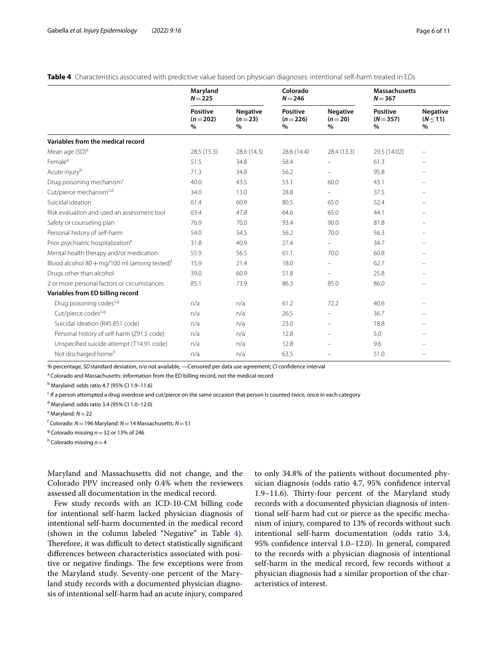<span id="page-5-0"></span>

|  | Table 4 Characteristics associated with predictive value based on physician diagnoses: intentional self-harm treated in EDs |  |  |  |  |
|--|-----------------------------------------------------------------------------------------------------------------------------|--|--|--|--|
|--|-----------------------------------------------------------------------------------------------------------------------------|--|--|--|--|

|                                                          | Maryland<br>$N = 225$         |                                     | Colorado<br>$N = 246$             |                                  | <b>Massachusetts</b><br>$N = 367$   |                                       |
|----------------------------------------------------------|-------------------------------|-------------------------------------|-----------------------------------|----------------------------------|-------------------------------------|---------------------------------------|
|                                                          | Positive<br>$(n=202)$<br>$\%$ | <b>Negative</b><br>$(n=23)$<br>$\%$ | <b>Positive</b><br>$(n=226)$<br>% | <b>Negative</b><br>$(n=20)$<br>% | <b>Positive</b><br>$(N = 357)$<br>% | <b>Negative</b><br>$(N \leq 11)$<br>% |
| Variables from the medical record                        |                               |                                     |                                   |                                  |                                     |                                       |
| Mean age (SD) <sup>a</sup>                               | 28.5 (15.3)                   | 28.6 (14.3)                         | 28.6 (14.4)                       | 28.4 (13.3)                      | 29.5 (14.02)                        |                                       |
| Female <sup>a</sup>                                      | 51.5                          | 34.8                                | 58.4                              |                                  | 61.3                                |                                       |
| Acute injury <sup>b</sup>                                | 71.3                          | 34.8                                | 56.2                              |                                  | 95.8                                |                                       |
| Drug poisoning mechanism <sup>c</sup>                    | 40.0                          | 43.5                                | 53.1                              | 60.0                             | 43.1                                |                                       |
| Cut/pierce mechanism <sup>c,d</sup>                      | 34.0                          | 13.0                                | 28.8                              | $\overline{\phantom{0}}$         | 37.5                                |                                       |
| Suicidal ideation                                        | 61.4                          | 60.9                                | 80.5                              | 65.0                             | 52.4                                |                                       |
| Risk evaluation and used an assessment tool              | 63.4                          | 47.8                                | 64.6                              | 65.0                             | 44.1                                |                                       |
| Safety or counseling plan                                | 76.9                          | 70.0                                | 93.4                              | 90.0                             | 81.8                                |                                       |
| Personal history of self-harm                            | 54.0                          | 54.5                                | 56.2                              | 70.0                             | 56.3                                |                                       |
| Prior psychiatric hospitalization <sup>e</sup>           | 31.8                          | 40.9                                | 27.4                              | $\overline{\phantom{0}}$         | 34.7                                |                                       |
| Mental health therapy and/or medication                  | 55.9                          | 56.5                                | 61.1                              | 70.0                             | 60.8                                |                                       |
| Blood alcohol 80 + mg/100 ml (among tested) <sup>†</sup> | 15.9                          | 21.4                                | 18.0                              | -                                | 62.7                                |                                       |
| Drugs other than alcohol                                 | 39.0                          | 60.9                                | 51.8                              | ÷.                               | 25.8                                |                                       |
| 2 or more personal factors or circumstances              | 85.1                          | 73.9                                | 86.3                              | 85.0                             | 86.0                                |                                       |
| Variables from ED billing record                         |                               |                                     |                                   |                                  |                                     |                                       |
| Drug poisoning codes <sup>c, g</sup>                     | n/a                           | n/a                                 | 61.2                              | 72.2                             | 40.6                                |                                       |
| Cut/pierce codes <sup>c,g</sup>                          | n/a                           | n/a                                 | 26.5                              | -                                | 36.7                                |                                       |
| Suicidal ideation (R45.851 code)                         | n/a                           | n/a                                 | 23.0                              | $\equiv$                         | 18.8                                |                                       |
| Personal history of self-harm (Z91.5 code)               | n/a                           | n/a                                 | 12.8                              |                                  | 5.0                                 |                                       |
| Unspecified suicide attempt (T14.91 code)                | n/a                           | n/a                                 | 12.8                              |                                  | 9.6                                 |                                       |
| Not discharged home <sup>h</sup>                         | n/a                           | n/a                                 | 63.5                              |                                  | 51.0                                |                                       |

*%* percentage, *SD*standard deviation, *n/a* not available, —Censored per data use agreement; *CI* confdence interval

<sup>a</sup> Colorado and Massachusetts: information from the ED billing record, not the medical record

<sup>b</sup> Maryland: odds ratio 4.7 (95% Cl 1.9–11.6)

<sup>c</sup> If a person attempted a drug overdose and cut/pierce on the same occasion that person is counted twice, once in each category

d Maryland: odds ratio 3.4 (95% CI 1.0–12.0)

e Maryland: *N*=22

f Colorado: *N*=196 Maryland: *N*=14 Massachusetts: *N*=51

g Colorado missing *n*=32 or 13% of 246

h Colorado missing *n*=4

Maryland and Massachusetts did not change, and the Colorado PPV increased only 0.4% when the reviewers assessed all documentation in the medical record.

Few study records with an ICD-10-CM billing code for intentional self-harm lacked physician diagnosis of intentional self-harm documented in the medical record (shown in the column labeled "Negative" in Table [4](#page-5-0)). Therefore, it was difficult to detect statistically significant diferences between characteristics associated with positive or negative findings. The few exceptions were from the Maryland study. Seventy-one percent of the Maryland study records with a documented physician diagnosis of intentional self-harm had an acute injury, compared to only 34.8% of the patients without documented physician diagnosis (odds ratio 4.7, 95% confdence interval 1.9–11.6). Thirty-four percent of the Maryland study records with a documented physician diagnosis of intentional self-harm had cut or pierce as the specifc mechanism of injury, compared to 13% of records without such intentional self-harm documentation (odds ratio 3.4, 95% confdence interval 1.0–12.0). In general, compared to the records with a physician diagnosis of intentional self-harm in the medical record, few records without a physician diagnosis had a similar proportion of the characteristics of interest.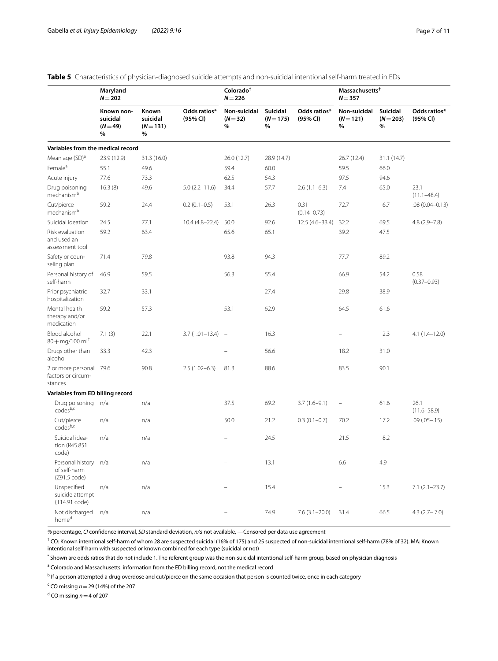|                                                            | Maryland<br>$N = 202$                     |                                       |                          | Colorado <sup>†</sup><br>$N = 226$ |                              |                          | Massachusetts <sup>†</sup><br>$N = 357$ |                            |                          |
|------------------------------------------------------------|-------------------------------------------|---------------------------------------|--------------------------|------------------------------------|------------------------------|--------------------------|-----------------------------------------|----------------------------|--------------------------|
|                                                            | Known non-<br>suicidal<br>$(N = 49)$<br>% | Known<br>suicidal<br>$(N = 131)$<br>% | Odds ratios*<br>(95% CI) | Non-suicidal<br>$(N=32)$<br>%      | Suicidal<br>$(N = 175)$<br>% | Odds ratios*<br>(95% CI) | Non-suicidal<br>$(N = 121)$<br>$\%$     | Suicidal<br>$(N=203)$<br>% | Odds ratios*<br>(95% CI) |
| Variables from the medical record                          |                                           |                                       |                          |                                    |                              |                          |                                         |                            |                          |
| Mean age (SD) <sup>a</sup>                                 | 23.9 (12.9)                               | 31.3 (16.0)                           |                          | 26.0 (12.7)                        | 28.9 (14.7)                  |                          | 26.7 (12.4)                             | 31.1 (14.7)                |                          |
| Female <sup>a</sup>                                        | 55.1                                      | 49.6                                  |                          | 59.4                               | 60.0                         |                          | 59.5                                    | 66.0                       |                          |
| Acute injury                                               | 77.6                                      | 73.3                                  |                          | 62.5                               | 54.3                         |                          | 97.5                                    | 94.6                       |                          |
| Drug poisoning<br>mechanism <sup>b</sup>                   | 16.3(8)                                   | 49.6                                  | $5.0(2.2 - 11.6)$        | 34.4                               | 57.7                         | $2.6(1.1-6.3)$           | 7.4                                     | 65.0                       | 23.1<br>$(11.1 - 48.4)$  |
| Cut/pierce<br>mechanism <sup>b</sup>                       | 59.2                                      | 24.4                                  | $0.2(0.1-0.5)$           | 53.1                               | 26.3                         | 0.31<br>$(0.14 - 0.73)$  | 72.7                                    | 16.7                       | $.08(0.04 - 0.13)$       |
| Suicidal ideation                                          | 24.5                                      | 77.1                                  | $10.4(4.8-22.4)$         | 50.0                               | 92.6                         | $12.5(4.6-33.4)$         | 32.2                                    | 69.5                       | $4.8(2.9 - 7.8)$         |
| Risk evaluation<br>and used an<br>assessment tool          | 59.2                                      | 63.4                                  |                          | 65.6                               | 65.1                         |                          | 39.2                                    | 47.5                       |                          |
| Safety or coun-<br>seling plan                             | 71.4                                      | 79.8                                  |                          | 93.8                               | 94.3                         |                          | 77.7                                    | 89.2                       |                          |
| Personal history of<br>self-harm                           | 46.9                                      | 59.5                                  |                          | 56.3                               | 55.4                         |                          | 66.9                                    | 54.2                       | 0.58<br>$(0.37 - 0.93)$  |
| Prior psychiatric<br>hospitalization                       | 32.7                                      | 33.1                                  |                          |                                    | 27.4                         |                          | 29.8                                    | 38.9                       |                          |
| Mental health<br>therapy and/or<br>medication              | 59.2                                      | 57.3                                  |                          | 53.1                               | 62.9                         |                          | 64.5                                    | 61.6                       |                          |
| Blood alcohol<br>$80 + \text{mg}/100 \text{ ml}^{\dagger}$ | 7.1(3)                                    | 22.1                                  | $3.7(1.01 - 13.4)$       | $\overline{\phantom{a}}$           | 16.3                         |                          |                                         | 12.3                       | $4.1(1.4-12.0)$          |
| Drugs other than<br>alcohol                                | 33.3                                      | 42.3                                  |                          |                                    | 56.6                         |                          | 18.2                                    | 31.0                       |                          |
| 2 or more personal 79.6<br>factors or circum-<br>stances   |                                           | 90.8                                  | $2.5(1.02-6.3)$          | 81.3                               | 88.6                         |                          | 83.5                                    | 90.1                       |                          |
| Variables from ED billing record                           |                                           |                                       |                          |                                    |                              |                          |                                         |                            |                          |
| Drug poisoning n/a<br>codesb,c                             |                                           | n/a                                   |                          | 37.5                               | 69.2                         | $3.7(1.6-9.1)$           | $\qquad \qquad -$                       | 61.6                       | 26.1<br>$(11.6 - 58.9)$  |
| Cut/pierce<br>codesb,c                                     | n/a                                       | n/a                                   |                          | 50.0                               | 21.2                         | $0.3(0.1-0.7)$           | 70.2                                    | 17.2                       | $.09(.05-.15)$           |
| Suicidal idea-<br>tion (R45.851<br>code)                   | n/a                                       | n/a                                   |                          |                                    | 24.5                         |                          | 21.5                                    | 18.2                       |                          |
| Personal history n/a<br>of self-harm<br>(Z91.5 code)       |                                           | n/a                                   |                          |                                    | 13.1                         |                          | 6.6                                     | 4.9                        |                          |
| Unspecified<br>suicide attempt<br>(T14.91 code)            | n/a                                       | n/a                                   |                          |                                    | 15.4                         |                          |                                         | 15.3                       | $7.1(2.1-23.7)$          |
| Not discharged<br>home <sup>d</sup>                        | n/a                                       | n/a                                   |                          |                                    | 74.9                         | $7.6(3.1 - 20.0)$        | 31.4                                    | 66.5                       | $4.3$ (2.7 – 7.0)        |

<span id="page-6-0"></span>

|  | Table 5 Characteristics of physician-diagnosed suicide attempts and non-suicidal intentional self-harm treated in EDs |  |  |  |  |  |  |  |
|--|-----------------------------------------------------------------------------------------------------------------------|--|--|--|--|--|--|--|
|--|-----------------------------------------------------------------------------------------------------------------------|--|--|--|--|--|--|--|

*%* percentage, *CI* confdence interval, *SD* standard deviation, *n/a* not available, —Censored per data use agreement

 $^\dagger$  CO: Known intentional self-harm of whom 28 are suspected suicidal (16% of 175) and 25 suspected of non-suicidal intentional self-harm (78% of 32). MA: Known intentional self-harm with suspected or known combined for each type (suicidal or not)

\* Shown are odds ratios that do not include 1. The referent group was the non-suicidal intentional self-harm group, based on physician diagnosis

<sup>a</sup> Colorado and Massachusetts: information from the ED billing record, not the medical record

<sup>b</sup> If a person attempted a drug overdose and cut/pierce on the same occasion that person is counted twice, once in each category

c CO missing *n*=29 (14%) of the 207

d CO missing *n*=4 of 207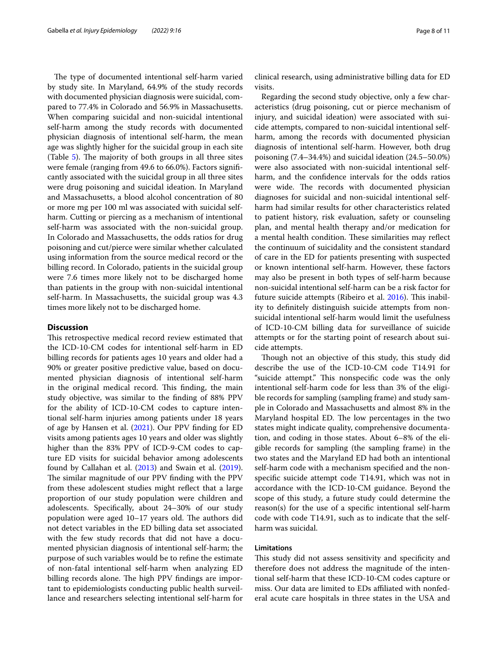The type of documented intentional self-harm varied by study site. In Maryland, 64.9% of the study records with documented physician diagnosis were suicidal, compared to 77.4% in Colorado and 56.9% in Massachusetts. When comparing suicidal and non-suicidal intentional self-harm among the study records with documented physician diagnosis of intentional self-harm, the mean age was slightly higher for the suicidal group in each site (Table  $5$ ). The majority of both groups in all three sites were female (ranging from 49.6 to 66.0%). Factors signifcantly associated with the suicidal group in all three sites were drug poisoning and suicidal ideation. In Maryland and Massachusetts, a blood alcohol concentration of 80 or more mg per 100 ml was associated with suicidal selfharm. Cutting or piercing as a mechanism of intentional self-harm was associated with the non-suicidal group. In Colorado and Massachusetts, the odds ratios for drug poisoning and cut/pierce were similar whether calculated using information from the source medical record or the billing record. In Colorado, patients in the suicidal group were 7.6 times more likely not to be discharged home than patients in the group with non-suicidal intentional self-harm. In Massachusetts, the suicidal group was 4.3 times more likely not to be discharged home.

# **Discussion**

This retrospective medical record review estimated that the ICD-10-CM codes for intentional self-harm in ED billing records for patients ages 10 years and older had a 90% or greater positive predictive value, based on documented physician diagnosis of intentional self-harm in the original medical record. This finding, the main study objective, was similar to the fnding of 88% PPV for the ability of ICD-10-CM codes to capture intentional self-harm injuries among patients under 18 years of age by Hansen et al. ([2021\)](#page-9-4). Our PPV fnding for ED visits among patients ages 10 years and older was slightly higher than the 83% PPV of ICD-9-CM codes to capture ED visits for suicidal behavior among adolescents found by Callahan et al. ([2013](#page-9-12)) and Swain et al. [\(2019](#page-9-3)). The similar magnitude of our PPV finding with the PPV from these adolescent studies might refect that a large proportion of our study population were children and adolescents. Specifcally, about 24–30% of our study population were aged  $10-17$  years old. The authors did not detect variables in the ED billing data set associated with the few study records that did not have a documented physician diagnosis of intentional self-harm; the purpose of such variables would be to refne the estimate of non-fatal intentional self-harm when analyzing ED billing records alone. The high PPV findings are important to epidemiologists conducting public health surveillance and researchers selecting intentional self-harm for clinical research, using administrative billing data for ED visits.

Regarding the second study objective, only a few characteristics (drug poisoning, cut or pierce mechanism of injury, and suicidal ideation) were associated with suicide attempts, compared to non-suicidal intentional selfharm, among the records with documented physician diagnosis of intentional self-harm. However, both drug poisoning (7.4–34.4%) and suicidal ideation (24.5–50.0%) were also associated with non-suicidal intentional selfharm, and the confdence intervals for the odds ratios were wide. The records with documented physician diagnoses for suicidal and non-suicidal intentional selfharm had similar results for other characteristics related to patient history, risk evaluation, safety or counseling plan, and mental health therapy and/or medication for a mental health condition. These similarities may reflect the continuum of suicidality and the consistent standard of care in the ED for patients presenting with suspected or known intentional self-harm. However, these factors may also be present in both types of self-harm because non-suicidal intentional self-harm can be a risk factor for future suicide attempts (Ribeiro et al. [2016](#page-9-19)). This inability to defnitely distinguish suicide attempts from nonsuicidal intentional self-harm would limit the usefulness of ICD-10-CM billing data for surveillance of suicide attempts or for the starting point of research about suicide attempts.

Though not an objective of this study, this study did describe the use of the ICD-10-CM code T14.91 for "suicide attempt." This nonspecific code was the only intentional self-harm code for less than 3% of the eligible records for sampling (sampling frame) and study sample in Colorado and Massachusetts and almost 8% in the Maryland hospital ED. The low percentages in the two states might indicate quality, comprehensive documentation, and coding in those states. About 6–8% of the eligible records for sampling (the sampling frame) in the two states and the Maryland ED had both an intentional self-harm code with a mechanism specifed and the nonspecifc suicide attempt code T14.91, which was not in accordance with the ICD-10-CM guidance. Beyond the scope of this study, a future study could determine the reason(s) for the use of a specifc intentional self-harm code with code T14.91, such as to indicate that the selfharm was suicidal.

# **Limitations**

This study did not assess sensitivity and specificity and therefore does not address the magnitude of the intentional self-harm that these ICD-10-CM codes capture or miss. Our data are limited to EDs affiliated with nonfederal acute care hospitals in three states in the USA and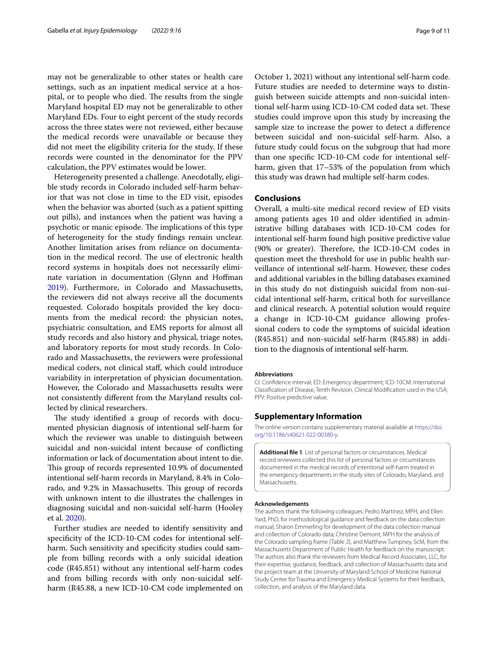may not be generalizable to other states or health care settings, such as an inpatient medical service at a hospital, or to people who died. The results from the single Maryland hospital ED may not be generalizable to other Maryland EDs. Four to eight percent of the study records across the three states were not reviewed, either because the medical records were unavailable or because they did not meet the eligibility criteria for the study. If these records were counted in the denominator for the PPV calculation, the PPV estimates would be lower.

Heterogeneity presented a challenge. Anecdotally, eligible study records in Colorado included self-harm behavior that was not close in time to the ED visit, episodes when the behavior was aborted (such as a patient spitting out pills), and instances when the patient was having a psychotic or manic episode. The implications of this type of heterogeneity for the study fndings remain unclear. Another limitation arises from reliance on documentation in the medical record. The use of electronic health record systems in hospitals does not necessarily eliminate variation in documentation (Glynn and Hofman [2019](#page-9-20)). Furthermore, in Colorado and Massachusetts, the reviewers did not always receive all the documents requested. Colorado hospitals provided the key documents from the medical record: the physician notes, psychiatric consultation, and EMS reports for almost all study records and also history and physical, triage notes, and laboratory reports for most study records. In Colorado and Massachusetts, the reviewers were professional medical coders, not clinical staf, which could introduce variability in interpretation of physician documentation. However, the Colorado and Massachusetts results were not consistently diferent from the Maryland results collected by clinical researchers.

The study identified a group of records with documented physician diagnosis of intentional self-harm for which the reviewer was unable to distinguish between suicidal and non-suicidal intent because of conficting information or lack of documentation about intent to die. This group of records represented 10.9% of documented intentional self-harm records in Maryland, 8.4% in Colorado, and 9.2% in Massachusetts. This group of records with unknown intent to die illustrates the challenges in diagnosing suicidal and non-suicidal self-harm (Hooley et al. [2020\)](#page-9-21).

Further studies are needed to identify sensitivity and specifcity of the ICD-10-CM codes for intentional selfharm. Such sensitivity and specificity studies could sample from billing records with a only suicidal ideation code (R45.851) without any intentional self-harm codes and from billing records with only non-suicidal selfharm (R45.88, a new ICD-10-CM code implemented on

October 1, 2021) without any intentional self-harm code. Future studies are needed to determine ways to distinguish between suicide attempts and non-suicidal intentional self-harm using ICD-10-CM coded data set. These studies could improve upon this study by increasing the sample size to increase the power to detect a diference between suicidal and non-suicidal self-harm. Also, a future study could focus on the subgroup that had more than one specifc ICD-10-CM code for intentional selfharm, given that 17–53% of the population from which this study was drawn had multiple self-harm codes.

# **Conclusions**

Overall, a multi-site medical record review of ED visits among patients ages 10 and older identifed in administrative billing databases with ICD-10-CM codes for intentional self-harm found high positive predictive value  $(90\%$  or greater). Therefore, the ICD-10-CM codes in question meet the threshold for use in public health surveillance of intentional self-harm. However, these codes and additional variables in the billing databases examined in this study do not distinguish suicidal from non-suicidal intentional self-harm, critical both for surveillance and clinical research. A potential solution would require a change in ICD-10-CM guidance allowing professional coders to code the symptoms of suicidal ideation (R45.851) and non-suicidal self-harm (R45.88) in addition to the diagnosis of intentional self-harm.

#### **Abbreviations**

CI: Confdence interval; ED: Emergency department; ICD-10CM: International Classifcation of Disease, Tenth Revision, Clinical Modifcation used in the USA; PPV: Positive predictive value.

#### **Supplementary Information**

The online version contains supplementary material available at [https://doi.](https://doi.org/10.1186/s40621-022-00380-y) [org/10.1186/s40621-022-00380-y.](https://doi.org/10.1186/s40621-022-00380-y)

<span id="page-8-0"></span>**Additional fle 1**. List of personal factors or circumstances. Medical record reviewers collected this list of personal factors or circumstances documented in the medical records of intentional self-harm treated in the emergency departments in the study sites of Colorado, Maryland, and Massachusetts.

#### **Acknowledgements**

The authors thank the following colleagues: Pedro Martinez, MPH, and Ellen Yard, PhD, for methodological guidance and feedback on the data collection manual; Sharon Emmerling for development of the data collection manual and collection of Colorado data; Christine Demont, MPH for the analysis of the Colorado sampling frame (Table [2](#page-3-0)), and Matthew Tumpney, ScM, from the Massachusetts Department of Public Health for feedback on the manuscript. The authors also thank the reviewers from Medical Record Associates, LLC, for their expertise, guidance, feedback, and collection of Massachusetts data and the project team at the University of Maryland School of Medicine National Study Center for Trauma and Emergency Medical Systems for their feedback, collection, and analysis of the Maryland data.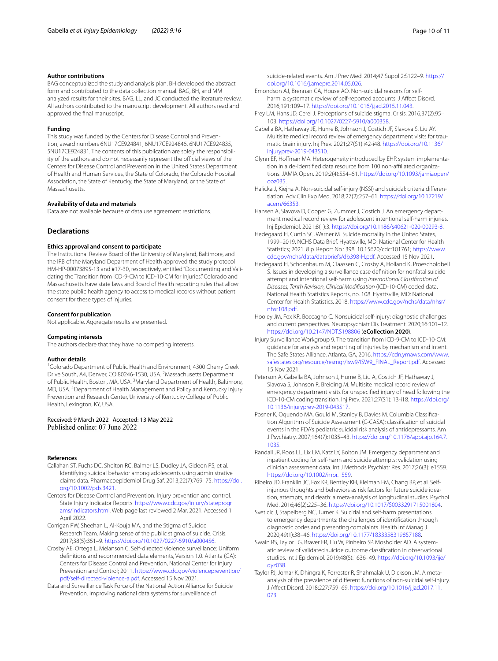#### **Author contributions**

BAG conceptualized the study and analysis plan. BH developed the abstract form and contributed to the data collection manual. BAG, BH, and MM analyzed results for their sites. BAG, LL, and JC conducted the literature review. All authors contributed to the manuscript development. All authors read and approved the fnal manuscript.

#### **Funding**

This study was funded by the Centers for Disease Control and Prevention, award numbers 6NU17CE924841, 6NU17CE924846, 6NU17CE924835, 5NU17CE924831. The contents of this publication are solely the responsibility of the authors and do not necessarily represent the official views of the Centers for Disease Control and Prevention in the United States Department of Health and Human Services, the State of Colorado, the Colorado Hospital Association, the State of Kentucky, the State of Maryland, or the State of Massachusetts.

## **Availability of data and materials**

Data are not available because of data use agreement restrictions.

# **Declarations**

#### **Ethics approval and consent to participate**

The Institutional Review Board of the University of Maryland, Baltimore, and the IRB of the Maryland Department of Health approved the study protocol HM-HP-00073895-13 and #17-30, respectively, entitled "Documenting and Validating the Transition from ICD-9-CM to ICD-10-CM for Injuries." Colorado and Massachusetts have state laws and Board of Health reporting rules that allow the state public health agency to access to medical records without patient consent for these types of injuries.

#### **Consent for publication**

Not applicable. Aggregate results are presented.

#### **Competing interests**

The authors declare that they have no competing interests.

#### **Author details**

<sup>1</sup> Colorado Department of Public Health and Environment, 4300 Cherry Creek Drive South, A4, Denver, CO 80246-1530, USA. <sup>2</sup>Massachusetts Department of Public Health, Boston, MA, USA. <sup>3</sup> Maryland Department of Health, Baltimore, MD, USA. 4 Department of Health Management and Policy and Kentucky Injury Prevention and Research Center, University of Kentucky College of Public Health, Lexington, KY, USA.

Received: 9 March 2022 Accepted: 13 May 2022<br>Published online: 07 June 2022

#### **References**

- <span id="page-9-12"></span>Callahan ST, Fuchs DC, Shelton RC, Balmer LS, Dudley JA, Gideon PS, et al. Identifying suicidal behavior among adolescents using administrative claims data. Pharmacoepidemiol Drug Saf. 2013;22(7):769–75. [https://doi.](https://doi.org/10.1002/pds.3421) [org/10.1002/pds.3421](https://doi.org/10.1002/pds.3421).
- <span id="page-9-15"></span>Centers for Disease Control and Prevention. Injury prevention and control. State Injury Indicator Reports. [https://www.cdc.gov/injury/stateprogr](https://www.cdc.gov/injury/stateprograms/indicators.html) [ams/indicators.html](https://www.cdc.gov/injury/stateprograms/indicators.html). Web page last reviewed 2 Mar, 2021. Accessed 1 April 2022.
- <span id="page-9-7"></span>Corrigan PW, Sheehan L, Al-Kouja MA, and the Stigma of Suicide Research Team. Making sense of the public stigma of suicide. Crisis. 2017;38(5):351–9. [https://doi.org/10.1027/0227-5910/a000456.](https://doi.org/10.1027/0227-5910/a000456)
- <span id="page-9-18"></span>Crosby AE, Ortega L, Melanson C. Self-directed violence surveillance: Uniform defnitions and recommended data elements, Version 1.0. Atlanta (GA): Centers for Disease Control and Prevention, National Center for Injury Prevention and Control; 2011. [https://www.cdc.gov/violenceprevention/](https://www.cdc.gov/violenceprevention/pdf/self-directed-violence-a.pdf) [pdf/self-directed-violence-a.pdf](https://www.cdc.gov/violenceprevention/pdf/self-directed-violence-a.pdf). Accessed 15 Nov 2021.
- <span id="page-9-0"></span>Data and Surveillance Task Force of the National Action Alliance for Suicide Prevention. Improving national data systems for surveillance of

suicide-related events. Am J Prev Med. 2014;47 Suppl 2:S122–9. [https://](https://doi.org/10.1016/j.amepre.2014.05.026) [doi.org/10.1016/j.amepre.2014.05.026](https://doi.org/10.1016/j.amepre.2014.05.026).

- <span id="page-9-10"></span>Emondson AJ, Brennan CA, House AO. Non-suicidal reasons for selfharm: a systematic review of self-reported accounts. J Affect Disord. 2016;191:109–17. <https://doi.org/10.1016/j.jad.2015.11.043>.
- <span id="page-9-6"></span>Frey LM, Hans JD, Cerel J. Perceptions of suicide stigma. Crisis. 2016;37(2):95– 103. <https://doi.org/10.1027/0227-5910/a000358>.
- <span id="page-9-16"></span>Gabella BA, Hathaway JE, Hume B, Johnson J, Costich JF, Slavova S, Liu AY. Multisite medical record review of emergency department visits for traumatic brain injury. Inj Prev. 2021;27(S1):i42-i48. [https://doi.org/10.1136/](https://doi.org/10.1136/injuryprev-2019-043510) [injuryprev-2019-043510](https://doi.org/10.1136/injuryprev-2019-043510).
- <span id="page-9-20"></span>Glynn EF, Hofman MA. Heterogeneity introduced by EHR system implementation in a de-identifed data resource from 100 non-afliated organizations. JAMIA Open. 2019;2(4):554–61. [https://doi.org/10.1093/jamiaopen/](https://doi.org/10.1093/jamiaopen/ooz035) [ooz035.](https://doi.org/10.1093/jamiaopen/ooz035)
- <span id="page-9-8"></span>Halicka J, Kiejna A. Non-suicidal self-injury (NSSI) and suicidal: criteria diferentiation. Adv Clin Exp Med. 2018;27(2):257–61. [https://doi.org/10.17219/](https://doi.org/10.17219/acem/66353) [acem/66353](https://doi.org/10.17219/acem/66353).
- <span id="page-9-4"></span>Hansen A, Slavova D, Cooper G, Zummer J, Costich J. An emergency department medical record review for adolescent intentional self-harm injuries. Inj Epidemiol. 2021;8(1):3. [https://doi.org/10.1186/s40621-020-00293-8.](https://doi.org/10.1186/s40621-020-00293-8)
- <span id="page-9-2"></span>Hedegaard H, Curtin SC, Warner M. Suicide mortality in the United States, 1999–2019. NCHS Data Brief. Hyattsville, MD: National Center for Health Statistics; 2021. 8 p. Report No.: 398. 10.15620/cdc:101761; [https://www.](https://www.cdc.gov/nchs/data/databriefs/db398-H.pdf) [cdc.gov/nchs/data/databriefs/db398-H.pdf.](https://www.cdc.gov/nchs/data/databriefs/db398-H.pdf) Accessed 15 Nov 2021.
- <span id="page-9-11"></span>Hedegaard H, Schoenbaum M, Claassen C, Crosby A, Holland K, Proescholdbell S. Issues in developing a surveillance case defnition for nonfatal suicide attempt and intentional self-harm using *International Classifcation of Diseases, Tenth Revision, Clinical Modifcation* (ICD-10-CM) coded data. National Health Statistics Reports, no. 108. Hyattsville, MD: National Center for Health Statistics. 2018. [https://www.cdc.gov/nchs/data/nhsr/](https://www.cdc.gov/nchs/data/nhsr/nhsr108.pdf) [nhsr108.pdf](https://www.cdc.gov/nchs/data/nhsr/nhsr108.pdf).
- <span id="page-9-21"></span>Hooley JM, Fox KR, Boccagno C. Nonsuicidal self-injury: diagnostic challenges and current perspectives. Neuropsychiatr Dis Treatment. 2020;16:101–12. <https://doi.org/10.2147/NDT.S198806>(**eCollection 2020**).
- <span id="page-9-1"></span>Injury Surveillance Workgroup 9. The transition from ICD-9-CM to ICD-10-CM: guidance for analysis and reporting of injuries by mechanism and intent. The Safe States Alliance. Atlanta, GA, 2016. [https://cdn.ymaws.com/www.](https://cdn.ymaws.com/www.safestates.org/resource/resmgr/isw9/ISW9_FINAL_Report.pdf) [safestates.org/resource/resmgr/isw9/ISW9\\_FINAL\\_Report.pdf](https://cdn.ymaws.com/www.safestates.org/resource/resmgr/isw9/ISW9_FINAL_Report.pdf). Accessed 15 Nov 2021.
- <span id="page-9-17"></span>Peterson A, Gabella BA, Johnson J, Hume B, Liu A, Costich JF, Hathaway J, Slavova S, Johnson R, Breiding M. Multisite medical record review of emergency department visits for unspecifed injury of head following the ICD-10-CM coding transition. Inj Prev. 2021;27(S1):i13-i18. [https://doi.org/](https://doi.org/10.1136/injuryprev-2019-043517) [10.1136/injuryprev-2019-043517.](https://doi.org/10.1136/injuryprev-2019-043517)
- <span id="page-9-5"></span>Posner K, Oquendo MA, Gould M, Stanley B, Davies M. Columbia Classifcation Algorithm of Suicide Assessment (C-CASA): classifcation of suicidal events in the FDA's pediatric suicidal risk analysis of antidepressants. Am J Psychiatry. 2007;164(7):1035–43. [https://doi.org/10.1176/appi.ajp.164.7.](https://doi.org/10.1176/appi.ajp.164.7.1035) [1035](https://doi.org/10.1176/appi.ajp.164.7.1035).
- <span id="page-9-13"></span>Randall JR, Roos LL, Lix LM, Katz LY, Bolton JM. Emergency department and inpatient coding for self-harm and suicide attempts: validation using clinician assessment data. Int J Methods Psychiatr Res. 2017;26(3): e1559. [https://doi.org/10.1002/mpr.1559.](https://doi.org/10.1002/mpr.1559)
- <span id="page-9-19"></span>Ribeiro JD, Franklin JC, Fox KR, Bentley KH, Kleiman EM, Chang BP, et al. Selfinjurious thoughts and behaviors as risk factors for future suicide ideation, attempts, and death: a meta-analysis of longitudinal studies. Psychol Med. 2016;46(2):225–36.<https://doi.org/10.1017/S0033291715001804>.
- <span id="page-9-14"></span>Sveticic J, Stapelberg NC, Turner K. Suicidal and self-harm presentations to emergency departments: the challenges of identifcation through diagnostic codes and presenting complaints. Health Inf Manag J. 2020;49(1):38–46. [https://doi.org/10.1177/1833358319857188.](https://doi.org/10.1177/1833358319857188)
- <span id="page-9-3"></span>Swain RS, Taylor LG, Braver ER, Liu W, Pinheiro SP, Mosholder AD. A systematic review of validated suicide outcome classifcation in observational studies. Int J Epidemiol. 2019;48(5):1636–49. [https://doi.org/10.1093/ije/](https://doi.org/10.1093/ije/dyz038) [dyz038](https://doi.org/10.1093/ije/dyz038).
- <span id="page-9-9"></span>Taylor PJ, Jomar K, Dhingra K, Forrester R, Shahmalak U, Dickson JM. A metaanalysis of the prevalence of diferent functions of non-suicidal self-injury. J Afect Disord. 2018;227:759–69. [https://doi.org/10.1016/j.jad.2017.11.](https://doi.org/10.1016/j.jad.2017.11.073) [073.](https://doi.org/10.1016/j.jad.2017.11.073)